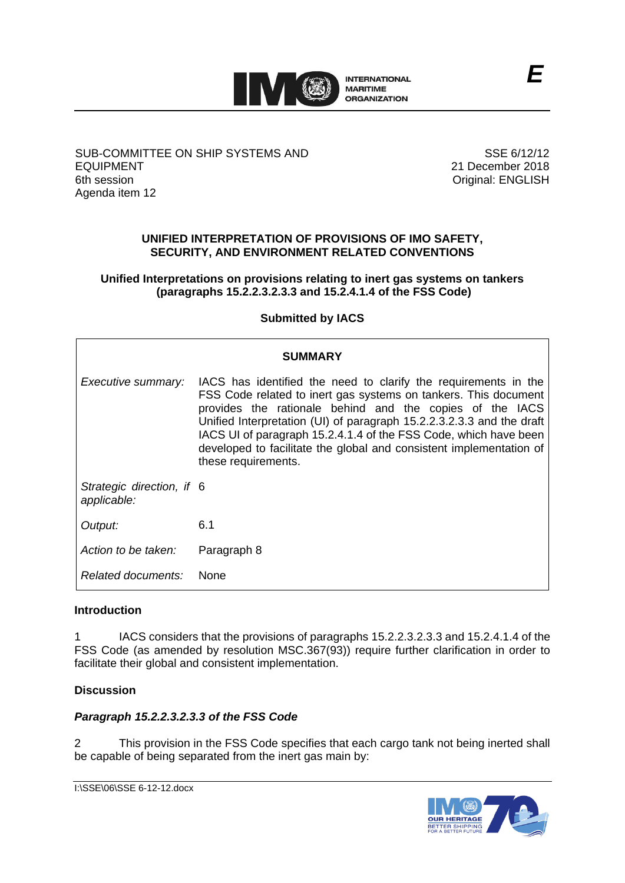

SUB-COMMITTEE ON SHIP SYSTEMS AND EQUIPMENT 6th session Agenda item 12

SSE 6/12/12 21 December 2018 Original: ENGLISH

# **UNIFIED INTERPRETATION OF PROVISIONS OF IMO SAFETY, SECURITY, AND ENVIRONMENT RELATED CONVENTIONS**

**Unified Interpretations on provisions relating to inert gas systems on tankers (paragraphs 15.2.2.3.2.3.3 and 15.2.4.1.4 of the FSS Code)**

**Submitted by IACS**

| SUMMARY                                  |                                                                                                                                                                                                                                                                                                                                                                                                                                           |
|------------------------------------------|-------------------------------------------------------------------------------------------------------------------------------------------------------------------------------------------------------------------------------------------------------------------------------------------------------------------------------------------------------------------------------------------------------------------------------------------|
| Executive summary:                       | IACS has identified the need to clarify the requirements in the<br>FSS Code related to inert gas systems on tankers. This document<br>provides the rationale behind and the copies of the IACS<br>Unified Interpretation (UI) of paragraph 15.2.2.3.2.3.3 and the draft<br>IACS UI of paragraph 15.2.4.1.4 of the FSS Code, which have been<br>developed to facilitate the global and consistent implementation of<br>these requirements. |
| Strategic direction, if 6<br>applicable: |                                                                                                                                                                                                                                                                                                                                                                                                                                           |
| Output:                                  | 6.1                                                                                                                                                                                                                                                                                                                                                                                                                                       |
| Action to be taken:                      | Paragraph 8                                                                                                                                                                                                                                                                                                                                                                                                                               |
| Related documents:                       | <b>None</b>                                                                                                                                                                                                                                                                                                                                                                                                                               |

# **Introduction**

1 IACS considers that the provisions of paragraphs 15.2.2.3.2.3.3 and 15.2.4.1.4 of the FSS Code (as amended by resolution MSC.367(93)) require further clarification in order to facilitate their global and consistent implementation.

# **Discussion**

# *Paragraph 15.2.2.3.2.3.3 of the FSS Code*

2 This provision in the FSS Code specifies that each cargo tank not being inerted shall be capable of being separated from the inert gas main by:

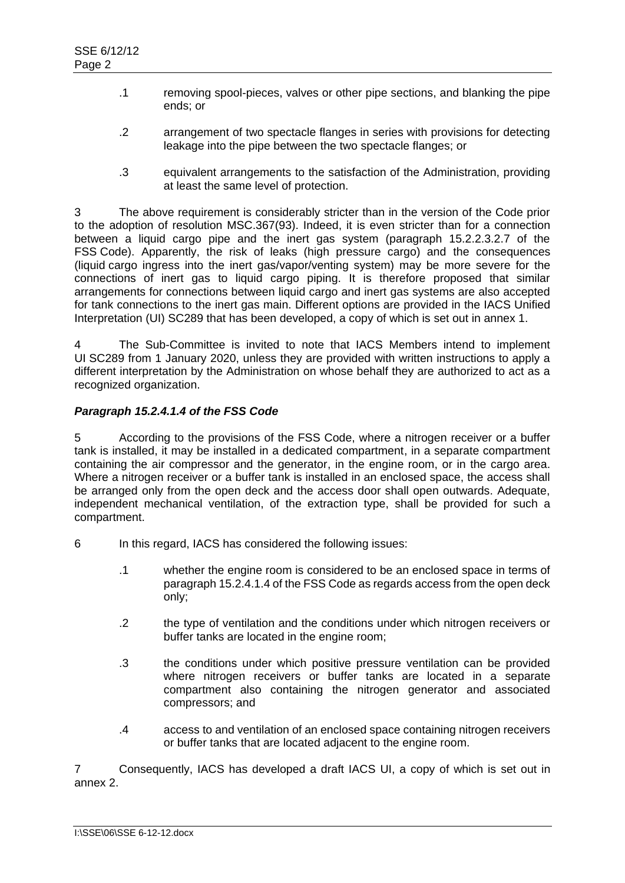- .1 removing spool-pieces, valves or other pipe sections, and blanking the pipe ends; or
- .2 arrangement of two spectacle flanges in series with provisions for detecting leakage into the pipe between the two spectacle flanges; or
- .3 equivalent arrangements to the satisfaction of the Administration, providing at least the same level of protection.

3 The above requirement is considerably stricter than in the version of the Code prior to the adoption of resolution MSC.367(93). Indeed, it is even stricter than for a connection between a liquid cargo pipe and the inert gas system (paragraph 15.2.2.3.2.7 of the FSS Code). Apparently, the risk of leaks (high pressure cargo) and the consequences (liquid cargo ingress into the inert gas/vapor/venting system) may be more severe for the connections of inert gas to liquid cargo piping. It is therefore proposed that similar arrangements for connections between liquid cargo and inert gas systems are also accepted for tank connections to the inert gas main. Different options are provided in the IACS Unified Interpretation (UI) SC289 that has been developed, a copy of which is set out in annex 1.

The Sub-Committee is invited to note that IACS Members intend to implement UI SC289 from 1 January 2020, unless they are provided with written instructions to apply a different interpretation by the Administration on whose behalf they are authorized to act as a recognized organization.

# *Paragraph 15.2.4.1.4 of the FSS Code*

5 According to the provisions of the FSS Code, where a nitrogen receiver or a buffer tank is installed, it may be installed in a dedicated compartment, in a separate compartment containing the air compressor and the generator, in the engine room, or in the cargo area. Where a nitrogen receiver or a buffer tank is installed in an enclosed space, the access shall be arranged only from the open deck and the access door shall open outwards. Adequate, independent mechanical ventilation, of the extraction type, shall be provided for such a compartment.

- 6 In this regard, IACS has considered the following issues:
	- .1 whether the engine room is considered to be an enclosed space in terms of paragraph 15.2.4.1.4 of the FSS Code as regards access from the open deck only;
	- .2 the type of ventilation and the conditions under which nitrogen receivers or buffer tanks are located in the engine room;
	- .3 the conditions under which positive pressure ventilation can be provided where nitrogen receivers or buffer tanks are located in a separate compartment also containing the nitrogen generator and associated compressors; and
	- .4 access to and ventilation of an enclosed space containing nitrogen receivers or buffer tanks that are located adjacent to the engine room.

7 Consequently, IACS has developed a draft IACS UI, a copy of which is set out in annex 2.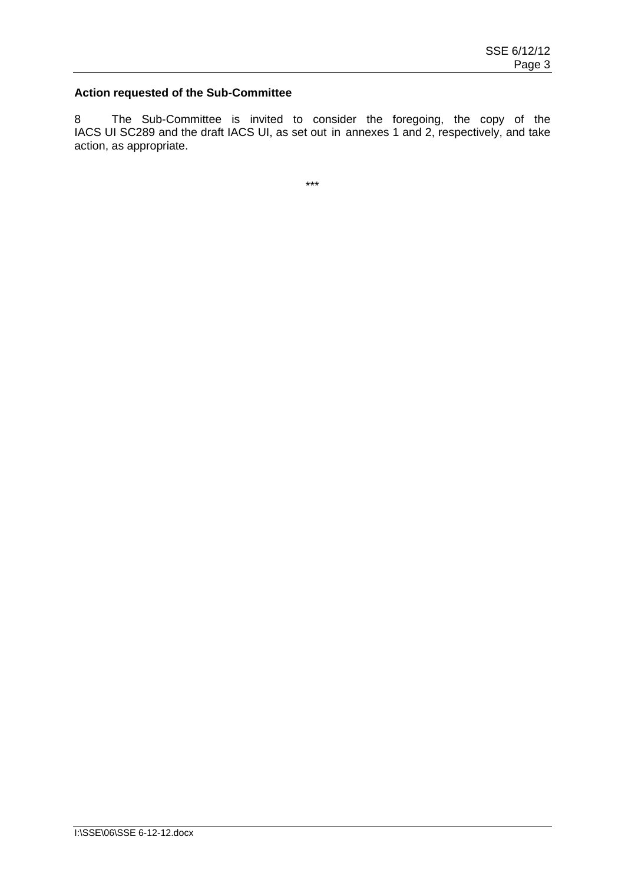### **Action requested of the Sub-Committee**

8 The Sub-Committee is invited to consider the foregoing, the copy of the IACS UI SC289 and the draft IACS UI, as set out in annexes 1 and 2, respectively, and take action, as appropriate.

\*\*\*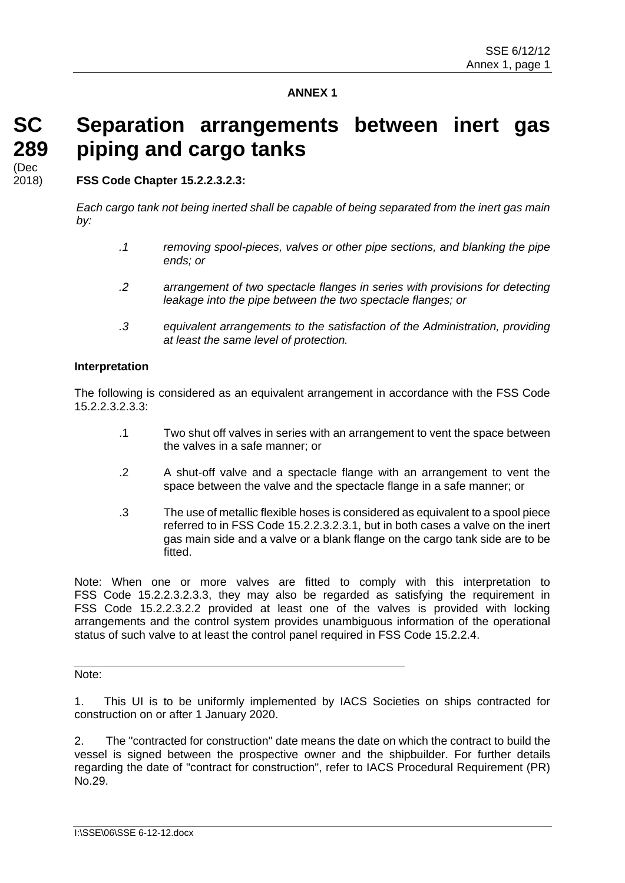# **ANNEX 1**

**Separation arrangements between inert gas** 

**SC 289** (Dec 2018)

**FSS Code Chapter 15.2.2.3.2.3:**

**piping and cargo tanks**

*Each cargo tank not being inerted shall be capable of being separated from the inert gas main by:*

- *.1 removing spool-pieces, valves or other pipe sections, and blanking the pipe ends; or*
- *.2 arrangement of two spectacle flanges in series with provisions for detecting leakage into the pipe between the two spectacle flanges; or*
- *.3 equivalent arrangements to the satisfaction of the Administration, providing at least the same level of protection.*

#### **Interpretation**

The following is considered as an equivalent arrangement in accordance with the FSS Code 15.2.2.3.2.3.3:

- .1 Two shut off valves in series with an arrangement to vent the space between the valves in a safe manner; or
- .2 A shut-off valve and a spectacle flange with an arrangement to vent the space between the valve and the spectacle flange in a safe manner; or
- .3 The use of metallic flexible hoses is considered as equivalent to a spool piece referred to in FSS Code 15.2.2.3.2.3.1, but in both cases a valve on the inert gas main side and a valve or a blank flange on the cargo tank side are to be fitted.

Note: When one or more valves are fitted to comply with this interpretation to FSS Code 15.2.2.3.2.3.3, they may also be regarded as satisfying the requirement in FSS Code 15.2.2.3.2.2 provided at least one of the valves is provided with locking arrangements and the control system provides unambiguous information of the operational status of such valve to at least the control panel required in FSS Code 15.2.2.4.

Note:

1. This UI is to be uniformly implemented by IACS Societies on ships contracted for construction on or after 1 January 2020.

2. The "contracted for construction" date means the date on which the contract to build the vessel is signed between the prospective owner and the shipbuilder. For further details regarding the date of "contract for construction", refer to IACS Procedural Requirement (PR) No.29.

I:\SSE\06\SSE 6-12-12.docx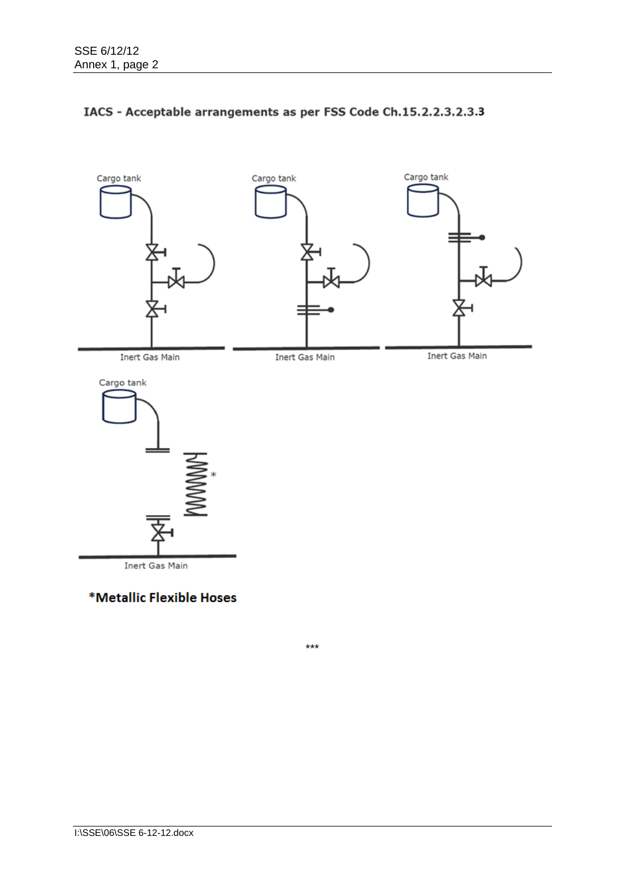

# IACS - Acceptable arrangements as per FSS Code Ch.15.2.2.3.2.3.3

\*Metallic Flexible Hoses

\*\*\*